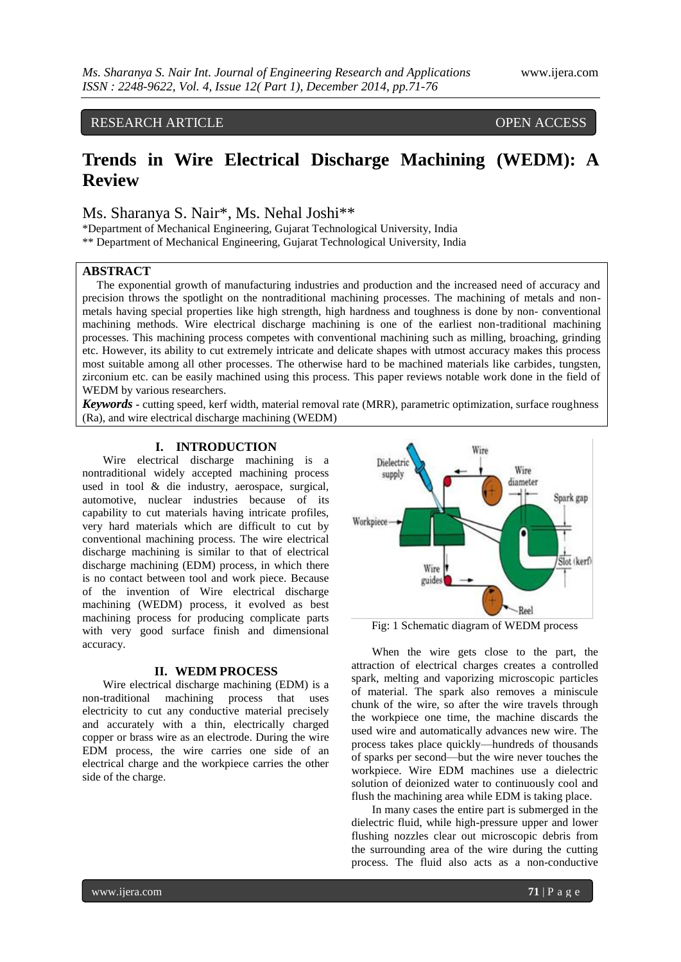# RESEARCH ARTICLE OPEN ACCESS

# **Trends in Wire Electrical Discharge Machining (WEDM): A Review**

# Ms. Sharanya S. Nair\*, Ms. Nehal Joshi\*\*

\*Department of Mechanical Engineering, Gujarat Technological University, India \*\* Department of Mechanical Engineering, Gujarat Technological University, India

## **ABSTRACT**

The exponential growth of manufacturing industries and production and the increased need of accuracy and precision throws the spotlight on the nontraditional machining processes. The machining of metals and nonmetals having special properties like high strength, high hardness and toughness is done by non- conventional machining methods. Wire electrical discharge machining is one of the earliest non-traditional machining processes. This machining process competes with conventional machining such as milling, broaching, grinding etc. However, its ability to cut extremely intricate and delicate shapes with utmost accuracy makes this process most suitable among all other processes. The otherwise hard to be machined materials like carbides, tungsten, zirconium etc. can be easily machined using this process. This paper reviews notable work done in the field of WEDM by various researchers.

*Keywords* **-** cutting speed, kerf width, material removal rate (MRR), parametric optimization, surface roughness (Ra), and wire electrical discharge machining (WEDM)

# **I. INTRODUCTION**

Wire electrical discharge machining is a nontraditional widely accepted machining process used in tool & die industry, aerospace, surgical, automotive, nuclear industries because of its capability to cut materials having intricate profiles, very hard materials which are difficult to cut by conventional machining process. The wire electrical discharge machining is similar to that of electrical discharge machining (EDM) process, in which there is no contact between tool and work piece. Because of the invention of Wire electrical discharge machining (WEDM) process, it evolved as best machining process for producing complicate parts with very good surface finish and dimensional accuracy.

#### **II. WEDM PROCESS**

Wire electrical discharge machining (EDM) is a non-traditional machining process that uses electricity to cut any conductive material precisely and accurately with a thin, electrically charged copper or brass wire as an electrode. During the wire EDM process, the wire carries one side of an electrical charge and the workpiece carries the other side of the charge.



Fig: 1 Schematic diagram of WEDM process

When the wire gets close to the part, the attraction of electrical charges creates a controlled spark, melting and vaporizing microscopic particles of material. The spark also removes a miniscule chunk of the wire, so after the wire travels through the workpiece one time, the machine discards the used wire and automatically advances new wire. The process takes place quickly—hundreds of thousands of sparks per second—but the wire never touches the workpiece. Wire EDM machines use a dielectric solution of deionized water to continuously cool and flush the machining area while EDM is taking place.

In many cases the entire part is submerged in the dielectric fluid, while high-pressure upper and lower flushing nozzles clear out microscopic debris from the surrounding area of the wire during the cutting process. The fluid also acts as a non-conductive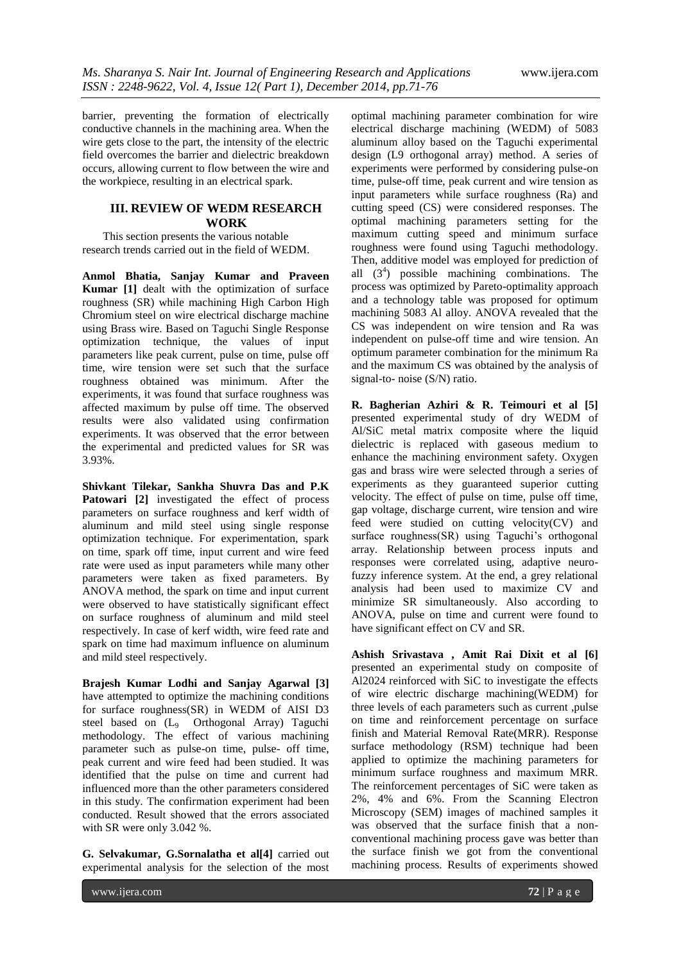barrier, preventing the formation of electrically conductive channels in the machining area. When the wire gets close to the part, the intensity of the electric field overcomes the barrier and dielectric breakdown occurs, allowing current to flow between the wire and the workpiece, resulting in an electrical spark.

### **III. REVIEW OF WEDM RESEARCH WORK**

This section presents the various notable research trends carried out in the field of WEDM.

**Anmol Bhatia, Sanjay Kumar and Praveen Kumar** [1] dealt with the optimization of surface roughness (SR) while machining High Carbon High Chromium steel on wire electrical discharge machine using Brass wire. Based on Taguchi Single Response optimization technique, the values of input parameters like peak current, pulse on time, pulse off time, wire tension were set such that the surface roughness obtained was minimum. After the experiments, it was found that surface roughness was affected maximum by pulse off time. The observed results were also validated using confirmation experiments. It was observed that the error between the experimental and predicted values for SR was 3.93%.

**Shivkant Tilekar, Sankha Shuvra Das and P.K**  Patowari [2] investigated the effect of process parameters on surface roughness and kerf width of aluminum and mild steel using single response optimization technique. For experimentation, spark on time, spark off time, input current and wire feed rate were used as input parameters while many other parameters were taken as fixed parameters. By ANOVA method, the spark on time and input current were observed to have statistically significant effect on surface roughness of aluminum and mild steel respectively. In case of kerf width, wire feed rate and spark on time had maximum influence on aluminum and mild steel respectively.

**Brajesh Kumar Lodhi and Sanjay Agarwal [3]** have attempted to optimize the machining conditions for surface roughness(SR) in WEDM of AISI D3 steel based on (L9 Orthogonal Array) Taguchi methodology. The effect of various machining parameter such as pulse-on time, pulse- off time, peak current and wire feed had been studied. It was identified that the pulse on time and current had influenced more than the other parameters considered in this study. The confirmation experiment had been conducted. Result showed that the errors associated with SR were only 3.042 %.

**G. Selvakumar, G.Sornalatha et al[4]** carried out experimental analysis for the selection of the most

optimal machining parameter combination for wire electrical discharge machining (WEDM) of 5083 aluminum alloy based on the Taguchi experimental design (L9 orthogonal array) method. A series of experiments were performed by considering pulse-on time, pulse-off time, peak current and wire tension as input parameters while surface roughness (Ra) and cutting speed (CS) were considered responses. The optimal machining parameters setting for the maximum cutting speed and minimum surface roughness were found using Taguchi methodology. Then, additive model was employed for prediction of all  $(3<sup>4</sup>)$  possible machining combinations. The process was optimized by Pareto-optimality approach and a technology table was proposed for optimum machining 5083 Al alloy. ANOVA revealed that the CS was independent on wire tension and Ra was independent on pulse-off time and wire tension. An optimum parameter combination for the minimum Ra and the maximum CS was obtained by the analysis of signal-to- noise (S/N) ratio.

**R. Bagherian Azhiri & R. Teimouri et al [5]** presented experimental study of dry WEDM of Al/SiC metal matrix composite where the liquid dielectric is replaced with gaseous medium to enhance the machining environment safety. Oxygen gas and brass wire were selected through a series of experiments as they guaranteed superior cutting velocity. The effect of pulse on time, pulse off time, gap voltage, discharge current, wire tension and wire feed were studied on cutting velocity(CV) and surface roughness(SR) using Taguchi's orthogonal array. Relationship between process inputs and responses were correlated using, adaptive neurofuzzy inference system. At the end, a grey relational analysis had been used to maximize CV and minimize SR simultaneously. Also according to ANOVA, pulse on time and current were found to have significant effect on CV and SR.

**Ashish Srivastava , Amit Rai Dixit et al [6]** presented an experimental study on composite of Al2024 reinforced with SiC to investigate the effects of wire electric discharge machining(WEDM) for three levels of each parameters such as current ,pulse on time and reinforcement percentage on surface finish and Material Removal Rate(MRR). Response surface methodology (RSM) technique had been applied to optimize the machining parameters for minimum surface roughness and maximum MRR. The reinforcement percentages of SiC were taken as 2%, 4% and 6%. From the Scanning Electron Microscopy (SEM) images of machined samples it was observed that the surface finish that a nonconventional machining process gave was better than the surface finish we got from the conventional machining process. Results of experiments showed

www.ijera.com **72** | P a g e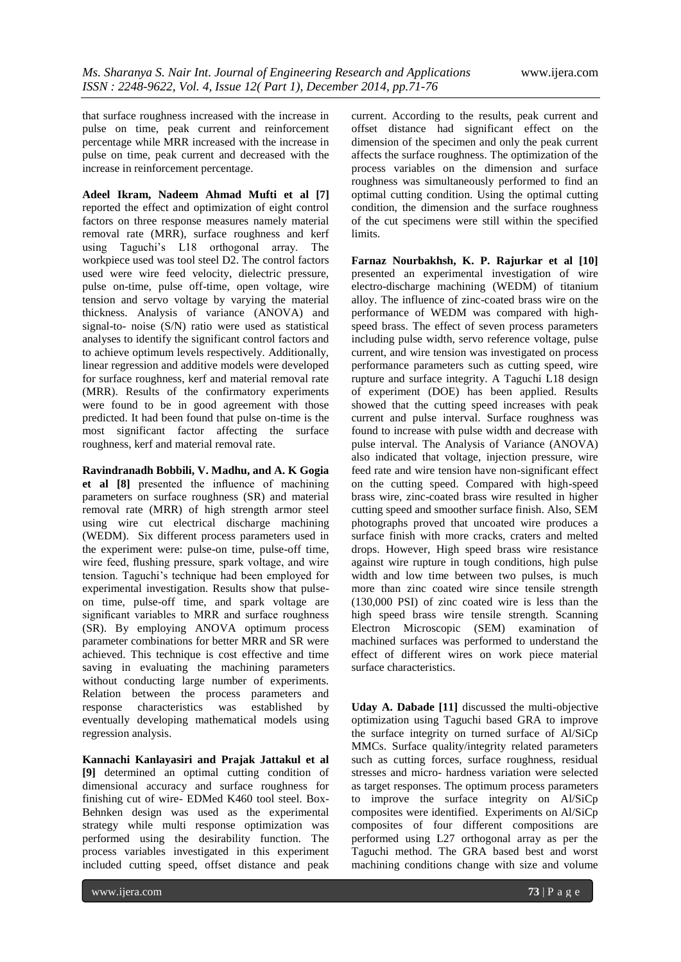that surface roughness increased with the increase in pulse on time, peak current and reinforcement percentage while MRR increased with the increase in pulse on time, peak current and decreased with the increase in reinforcement percentage.

**Adeel Ikram, Nadeem Ahmad Mufti et al [7]** reported the effect and optimization of eight control factors on three response measures namely material removal rate (MRR), surface roughness and kerf using Taguchi's L18 orthogonal array. The workpiece used was tool steel D2. The control factors used were wire feed velocity, dielectric pressure, pulse on-time, pulse off-time, open voltage, wire tension and servo voltage by varying the material thickness. Analysis of variance (ANOVA) and signal-to- noise (S/N) ratio were used as statistical analyses to identify the significant control factors and to achieve optimum levels respectively. Additionally, linear regression and additive models were developed for surface roughness, kerf and material removal rate (MRR). Results of the confirmatory experiments were found to be in good agreement with those predicted. It had been found that pulse on-time is the most significant factor affecting the surface roughness, kerf and material removal rate.

**Ravindranadh Bobbili, V. Madhu, and A. K Gogia et al [8]** presented the influence of machining parameters on surface roughness (SR) and material removal rate (MRR) of high strength armor steel using wire cut electrical discharge machining (WEDM). Six different process parameters used in the experiment were: pulse-on time, pulse-off time, wire feed, flushing pressure, spark voltage, and wire tension. Taguchi's technique had been employed for experimental investigation. Results show that pulseon time, pulse-off time, and spark voltage are significant variables to MRR and surface roughness (SR). By employing ANOVA optimum process parameter combinations for better MRR and SR were achieved. This technique is cost effective and time saving in evaluating the machining parameters without conducting large number of experiments. Relation between the process parameters and response characteristics was established by eventually developing mathematical models using regression analysis.

**Kannachi Kanlayasiri and Prajak Jattakul et al [9]** determined an optimal cutting condition of dimensional accuracy and surface roughness for finishing cut of wire- EDMed K460 tool steel. Box-Behnken design was used as the experimental strategy while multi response optimization was performed using the desirability function. The process variables investigated in this experiment included cutting speed, offset distance and peak

current. According to the results, peak current and offset distance had significant effect on the dimension of the specimen and only the peak current affects the surface roughness. The optimization of the process variables on the dimension and surface roughness was simultaneously performed to find an optimal cutting condition. Using the optimal cutting condition, the dimension and the surface roughness of the cut specimens were still within the specified limits.

**Farnaz Nourbakhsh, K. P. Rajurkar et al [10]** presented an experimental investigation of wire electro-discharge machining (WEDM) of titanium alloy. The influence of zinc-coated brass wire on the performance of WEDM was compared with highspeed brass. The effect of seven process parameters including pulse width, servo reference voltage, pulse current, and wire tension was investigated on process performance parameters such as cutting speed, wire rupture and surface integrity. A Taguchi L18 design of experiment (DOE) has been applied. Results showed that the cutting speed increases with peak current and pulse interval. Surface roughness was found to increase with pulse width and decrease with pulse interval. The Analysis of Variance (ANOVA) also indicated that voltage, injection pressure, wire feed rate and wire tension have non-significant effect on the cutting speed. Compared with high-speed brass wire, zinc-coated brass wire resulted in higher cutting speed and smoother surface finish. Also, SEM photographs proved that uncoated wire produces a surface finish with more cracks, craters and melted drops. However, High speed brass wire resistance against wire rupture in tough conditions, high pulse width and low time between two pulses, is much more than zinc coated wire since tensile strength (130,000 PSI) of zinc coated wire is less than the high speed brass wire tensile strength. Scanning Electron Microscopic (SEM) examination of machined surfaces was performed to understand the effect of different wires on work piece material surface characteristics.

**Uday A. Dabade [11]** discussed the multi-objective optimization using Taguchi based GRA to improve the surface integrity on turned surface of Al/SiCp MMCs. Surface quality/integrity related parameters such as cutting forces, surface roughness, residual stresses and micro- hardness variation were selected as target responses. The optimum process parameters to improve the surface integrity on Al/SiCp composites were identified. Experiments on Al/SiCp composites of four different compositions are performed using L27 orthogonal array as per the Taguchi method. The GRA based best and worst machining conditions change with size and volume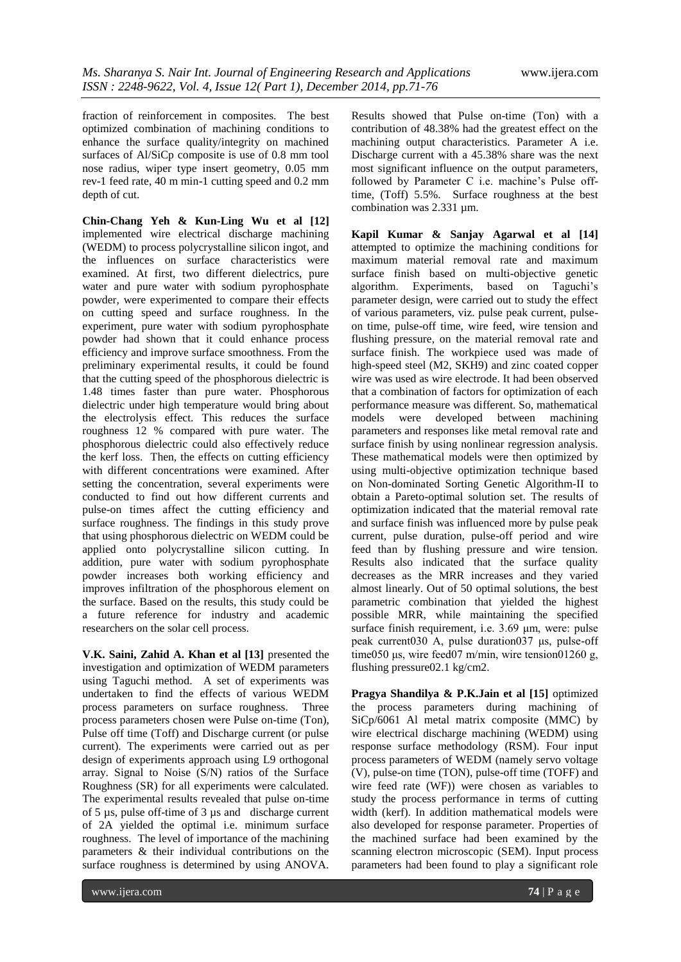fraction of reinforcement in composites. The best optimized combination of machining conditions to enhance the surface quality/integrity on machined surfaces of Al/SiCp composite is use of 0.8 mm tool nose radius, wiper type insert geometry, 0.05 mm rev-1 feed rate, 40 m min-1 cutting speed and 0.2 mm depth of cut.

**Chin-Chang Yeh & Kun-Ling Wu et al [12]** implemented wire electrical discharge machining (WEDM) to process polycrystalline silicon ingot, and the influences on surface characteristics were examined. At first, two different dielectrics, pure water and pure water with sodium pyrophosphate powder, were experimented to compare their effects on cutting speed and surface roughness. In the experiment, pure water with sodium pyrophosphate powder had shown that it could enhance process efficiency and improve surface smoothness. From the preliminary experimental results, it could be found that the cutting speed of the phosphorous dielectric is 1.48 times faster than pure water. Phosphorous dielectric under high temperature would bring about the electrolysis effect. This reduces the surface roughness 12 % compared with pure water. The phosphorous dielectric could also effectively reduce the kerf loss. Then, the effects on cutting efficiency with different concentrations were examined. After setting the concentration, several experiments were conducted to find out how different currents and pulse-on times affect the cutting efficiency and surface roughness. The findings in this study prove that using phosphorous dielectric on WEDM could be applied onto polycrystalline silicon cutting. In addition, pure water with sodium pyrophosphate powder increases both working efficiency and improves infiltration of the phosphorous element on the surface. Based on the results, this study could be a future reference for industry and academic researchers on the solar cell process.

**V.K. Saini, Zahid A. Khan et al [13]** presented the investigation and optimization of WEDM parameters using Taguchi method. A set of experiments was undertaken to find the effects of various WEDM process parameters on surface roughness. Three process parameters chosen were Pulse on-time (Ton), Pulse off time (Toff) and Discharge current (or pulse current). The experiments were carried out as per design of experiments approach using L9 orthogonal array. Signal to Noise (S/N) ratios of the Surface Roughness (SR) for all experiments were calculated. The experimental results revealed that pulse on-time of 5 µs, pulse off-time of 3 µs and discharge current of 2A yielded the optimal i.e. minimum surface roughness. The level of importance of the machining parameters & their individual contributions on the surface roughness is determined by using ANOVA.

Results showed that Pulse on-time (Ton) with a contribution of 48.38% had the greatest effect on the machining output characteristics. Parameter A i.e. Discharge current with a 45.38% share was the next most significant influence on the output parameters, followed by Parameter C i.e. machine's Pulse offtime, (Toff) 5.5%. Surface roughness at the best combination was 2.331 µm.

**Kapil Kumar & Sanjay Agarwal et al [14]** attempted to optimize the machining conditions for maximum material removal rate and maximum surface finish based on multi-objective genetic algorithm. Experiments, based on Taguchi's parameter design, were carried out to study the effect of various parameters, viz. pulse peak current, pulseon time, pulse-off time, wire feed, wire tension and flushing pressure, on the material removal rate and surface finish. The workpiece used was made of high-speed steel (M2, SKH9) and zinc coated copper wire was used as wire electrode. It had been observed that a combination of factors for optimization of each performance measure was different. So, mathematical models were developed between machining parameters and responses like metal removal rate and surface finish by using nonlinear regression analysis. These mathematical models were then optimized by using multi-objective optimization technique based on Non-dominated Sorting Genetic Algorithm-II to obtain a Pareto-optimal solution set. The results of optimization indicated that the material removal rate and surface finish was influenced more by pulse peak current, pulse duration, pulse-off period and wire feed than by flushing pressure and wire tension. Results also indicated that the surface quality decreases as the MRR increases and they varied almost linearly. Out of 50 optimal solutions, the best parametric combination that yielded the highest possible MRR, while maintaining the specified surface finish requirement, i.e. 3.69 μm, were: pulse peak current030 A, pulse duration037 μs, pulse-off time050 μs, wire feed07 m/min, wire tension01260 g, flushing pressure02.1 kg/cm2.

**Pragya Shandilya & P.K.Jain et al [15]** optimized the process parameters during machining of SiCp/6061 Al metal matrix composite (MMC) by wire electrical discharge machining (WEDM) using response surface methodology (RSM). Four input process parameters of WEDM (namely servo voltage (V), pulse-on time (TON), pulse-off time (TOFF) and wire feed rate (WF)) were chosen as variables to study the process performance in terms of cutting width (kerf). In addition mathematical models were also developed for response parameter. Properties of the machined surface had been examined by the scanning electron microscopic (SEM). Input process parameters had been found to play a significant role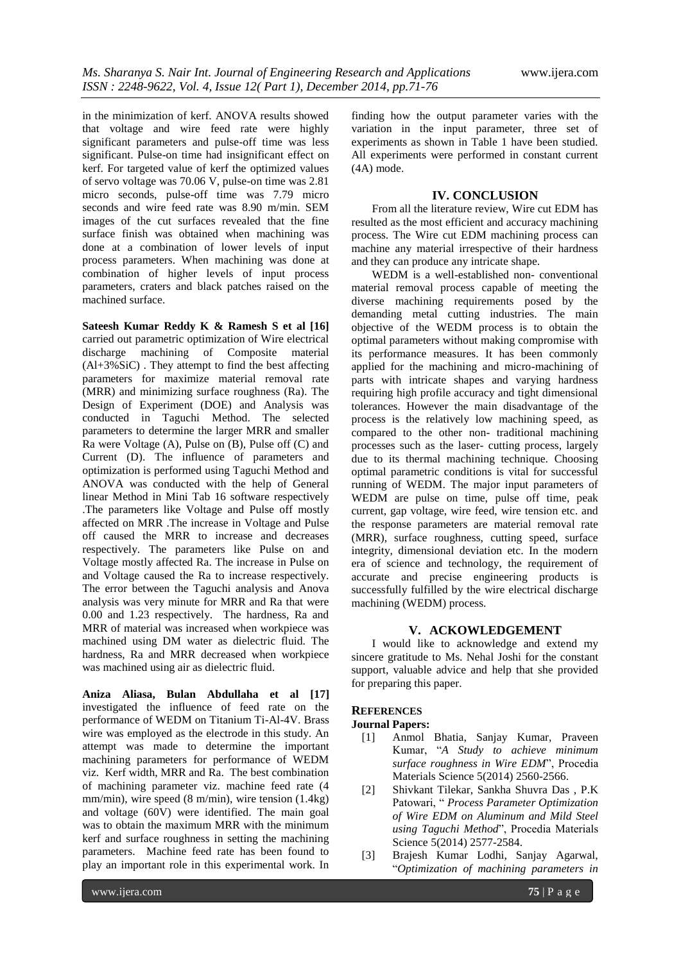in the minimization of kerf. ANOVA results showed that voltage and wire feed rate were highly significant parameters and pulse-off time was less significant. Pulse-on time had insignificant effect on kerf. For targeted value of kerf the optimized values of servo voltage was 70.06 V, pulse-on time was 2.81 micro seconds, pulse-off time was 7.79 micro seconds and wire feed rate was 8.90 m/min. SEM images of the cut surfaces revealed that the fine surface finish was obtained when machining was done at a combination of lower levels of input process parameters. When machining was done at combination of higher levels of input process parameters, craters and black patches raised on the machined surface.

**Sateesh Kumar Reddy K & Ramesh S et al [16]** carried out parametric optimization of Wire electrical discharge machining of Composite material  $(AI+3\%SiC)$ . They attempt to find the best affecting parameters for maximize material removal rate (MRR) and minimizing surface roughness (Ra). The Design of Experiment (DOE) and Analysis was conducted in Taguchi Method. The selected parameters to determine the larger MRR and smaller Ra were Voltage (A), Pulse on (B), Pulse off (C) and Current (D). The influence of parameters and optimization is performed using Taguchi Method and ANOVA was conducted with the help of General linear Method in Mini Tab 16 software respectively .The parameters like Voltage and Pulse off mostly affected on MRR .The increase in Voltage and Pulse off caused the MRR to increase and decreases respectively. The parameters like Pulse on and Voltage mostly affected Ra. The increase in Pulse on and Voltage caused the Ra to increase respectively. The error between the Taguchi analysis and Anova analysis was very minute for MRR and Ra that were 0.00 and 1.23 respectively. The hardness, Ra and MRR of material was increased when workpiece was machined using DM water as dielectric fluid. The hardness, Ra and MRR decreased when workpiece was machined using air as dielectric fluid.

**Aniza Aliasa, Bulan Abdullaha et al [17]** investigated the influence of feed rate on the performance of WEDM on Titanium Ti-Al-4V. Brass wire was employed as the electrode in this study. An attempt was made to determine the important machining parameters for performance of WEDM viz. Kerf width, MRR and Ra. The best combination of machining parameter viz. machine feed rate (4 mm/min), wire speed (8 m/min), wire tension (1.4kg) and voltage (60V) were identified. The main goal was to obtain the maximum MRR with the minimum kerf and surface roughness in setting the machining parameters. Machine feed rate has been found to play an important role in this experimental work. In

finding how the output parameter varies with the variation in the input parameter, three set of experiments as shown in Table 1 have been studied. All experiments were performed in constant current (4A) mode.

#### **IV. CONCLUSION**

From all the literature review, Wire cut EDM has resulted as the most efficient and accuracy machining process. The Wire cut EDM machining process can machine any material irrespective of their hardness and they can produce any intricate shape.

WEDM is a well-established non- conventional material removal process capable of meeting the diverse machining requirements posed by the demanding metal cutting industries. The main objective of the WEDM process is to obtain the optimal parameters without making compromise with its performance measures. It has been commonly applied for the machining and micro-machining of parts with intricate shapes and varying hardness requiring high profile accuracy and tight dimensional tolerances. However the main disadvantage of the process is the relatively low machining speed, as compared to the other non- traditional machining processes such as the laser- cutting process, largely due to its thermal machining technique. Choosing optimal parametric conditions is vital for successful running of WEDM. The major input parameters of WEDM are pulse on time, pulse off time, peak current, gap voltage, wire feed, wire tension etc. and the response parameters are material removal rate (MRR), surface roughness, cutting speed, surface integrity, dimensional deviation etc. In the modern era of science and technology, the requirement of accurate and precise engineering products is successfully fulfilled by the wire electrical discharge machining (WEDM) process.

#### **V. ACKOWLEDGEMENT**

I would like to acknowledge and extend my sincere gratitude to Ms. Nehal Joshi for the constant support, valuable advice and help that she provided for preparing this paper.

#### **REFERENCES**

#### **Journal Papers:**

- [1] Anmol Bhatia, Sanjay Kumar, Praveen Kumar, ―*A Study to achieve minimum*  surface roughness in Wire EDM", Procedia Materials Science 5(2014) 2560-2566.
- [2] Shivkant Tilekar, Sankha Shuvra Das , P.K Patowari, ― *Process Parameter Optimization of Wire EDM on Aluminum and Mild Steel*  using Taguchi Method", Procedia Materials Science 5(2014) 2577-2584.
- [3] Brajesh Kumar Lodhi, Sanjay Agarwal, ―*Optimization of machining parameters in*